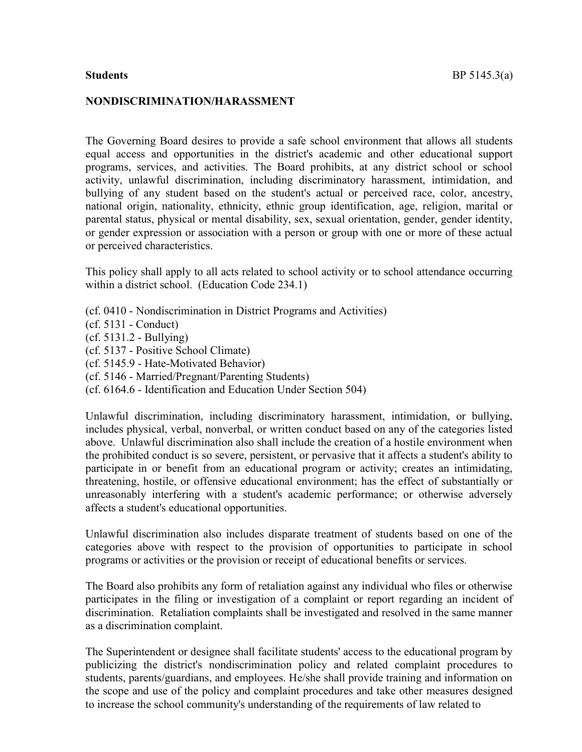#### NONDISCRIMINATION/HARASSMENT

The Governing Board desires to provide a safe school environment that allows all students equal access and opportunities in the district's academic and other educational support programs, services, and activities. The Board prohibits, at any district school or school activity, unlawful discrimination, including discriminatory harassment, intimidation, and bullying of any student based on the student's actual or perceived race, color, ancestry, national origin, nationality, ethnicity, ethnic group identification, age, religion, marital or parental status, physical or mental disability, sex, sexual orientation, gender, gender identity, or gender expression or association with a person or group with one or more of these actual or perceived characteristics.

This policy shall apply to all acts related to school activity or to school attendance occurring within a district school. (Education Code 234.1)

- (cf. 0410 Nondiscrimination in District Programs and Activities)
- (cf. 5131 Conduct)
- (cf. 5131.2 Bullying)
- (cf. 5137 Positive School Climate)
- (cf. 5145.9 Hate-Motivated Behavior)
- (cf. 5146 Married/Pregnant/Parenting Students)
- (cf. 6164.6 Identification and Education Under Section 504)

Unlawful discrimination, including discriminatory harassment, intimidation, or bullying, includes physical, verbal, nonverbal, or written conduct based on any of the categories listed above. Unlawful discrimination also shall include the creation of a hostile environment when the prohibited conduct is so severe, persistent, or pervasive that it affects a student's ability to participate in or benefit from an educational program or activity; creates an intimidating, threatening, hostile, or offensive educational environment; has the effect of substantially or unreasonably interfering with a student's academic performance; or otherwise adversely affects a student's educational opportunities.

Unlawful discrimination also includes disparate treatment of students based on one of the categories above with respect to the provision of opportunities to participate in school programs or activities or the provision or receipt of educational benefits or services.

The Board also prohibits any form of retaliation against any individual who files or otherwise participates in the filing or investigation of a complaint or report regarding an incident of discrimination. Retaliation complaints shall be investigated and resolved in the same manner as a discrimination complaint.

The Superintendent or designee shall facilitate students' access to the educational program by publicizing the district's nondiscrimination policy and related complaint procedures to students, parents/guardians, and employees. He/she shall provide training and information on the scope and use of the policy and complaint procedures and take other measures designed to increase the school community's understanding of the requirements of law related to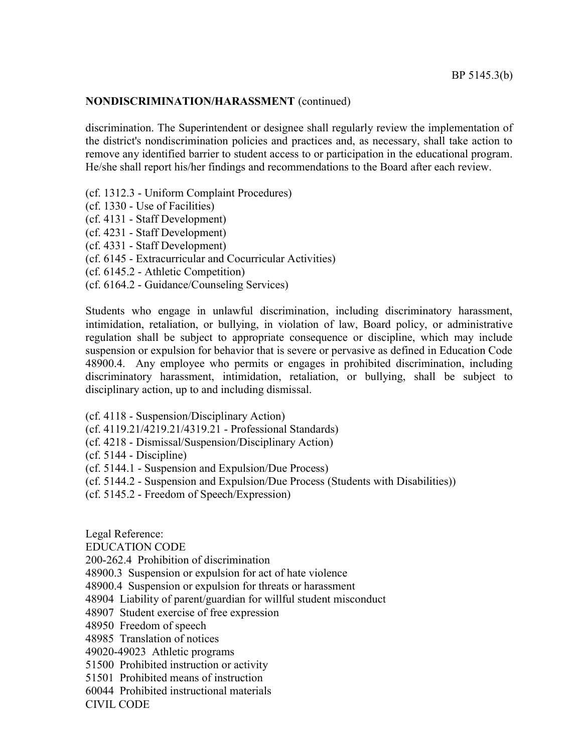## NONDISCRIMINATION/HARASSMENT (continued)

discrimination. The Superintendent or designee shall regularly review the implementation of the district's nondiscrimination policies and practices and, as necessary, shall take action to remove any identified barrier to student access to or participation in the educational program. He/she shall report his/her findings and recommendations to the Board after each review.

- (cf. 1312.3 Uniform Complaint Procedures)
- (cf. 1330 Use of Facilities)
- (cf. 4131 Staff Development)
- (cf. 4231 Staff Development)
- (cf. 4331 Staff Development)
- (cf. 6145 Extracurricular and Cocurricular Activities)
- (cf. 6145.2 Athletic Competition)
- (cf. 6164.2 Guidance/Counseling Services)

Students who engage in unlawful discrimination, including discriminatory harassment, intimidation, retaliation, or bullying, in violation of law, Board policy, or administrative regulation shall be subject to appropriate consequence or discipline, which may include suspension or expulsion for behavior that is severe or pervasive as defined in Education Code 48900.4. Any employee who permits or engages in prohibited discrimination, including discriminatory harassment, intimidation, retaliation, or bullying, shall be subject to disciplinary action, up to and including dismissal.

- (cf. 4118 Suspension/Disciplinary Action)
- (cf. 4119.21/4219.21/4319.21 Professional Standards)
- (cf. 4218 Dismissal/Suspension/Disciplinary Action)
- (cf. 5144 Discipline)
- (cf. 5144.1 Suspension and Expulsion/Due Process)
- (cf. 5144.2 Suspension and Expulsion/Due Process (Students with Disabilities))
- (cf. 5145.2 Freedom of Speech/Expression)

Legal Reference:

EDUCATION CODE

200-262.4 Prohibition of discrimination

- 48900.3 Suspension or expulsion for act of hate violence
- 48900.4 Suspension or expulsion for threats or harassment
- 48904 Liability of parent/guardian for willful student misconduct
- 48907 Student exercise of free expression
- 48950 Freedom of speech
- 48985 Translation of notices
- 49020-49023 Athletic programs
- 51500 Prohibited instruction or activity
- 51501 Prohibited means of instruction
- 60044 Prohibited instructional materials

CIVIL CODE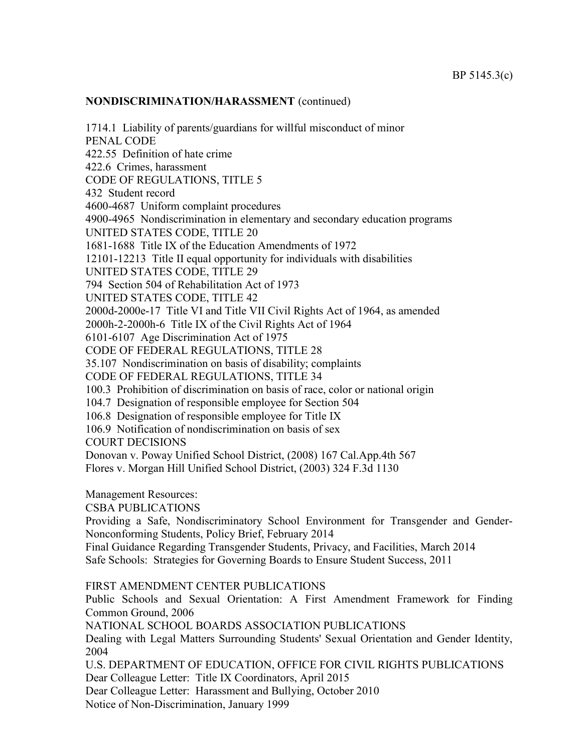## NONDISCRIMINATION/HARASSMENT (continued)

1714.1 Liability of parents/guardians for willful misconduct of minor PENAL CODE 422.55 Definition of hate crime 422.6 Crimes, harassment CODE OF REGULATIONS, TITLE 5 432 Student record 4600-4687 Uniform complaint procedures 4900-4965 Nondiscrimination in elementary and secondary education programs UNITED STATES CODE, TITLE 20 1681-1688 Title IX of the Education Amendments of 1972 12101-12213 Title II equal opportunity for individuals with disabilities UNITED STATES CODE, TITLE 29 794 Section 504 of Rehabilitation Act of 1973 UNITED STATES CODE, TITLE 42 2000d-2000e-17 Title VI and Title VII Civil Rights Act of 1964, as amended 2000h-2-2000h-6 Title IX of the Civil Rights Act of 1964 6101-6107 Age Discrimination Act of 1975 CODE OF FEDERAL REGULATIONS, TITLE 28 35.107 Nondiscrimination on basis of disability; complaints CODE OF FEDERAL REGULATIONS, TITLE 34 100.3 Prohibition of discrimination on basis of race, color or national origin 104.7 Designation of responsible employee for Section 504 106.8 Designation of responsible employee for Title IX 106.9 Notification of nondiscrimination on basis of sex COURT DECISIONS Donovan v. Poway Unified School District, (2008) 167 Cal.App.4th 567 Flores v. Morgan Hill Unified School District, (2003) 324 F.3d 1130 Management Resources: CSBA PUBLICATIONS Providing a Safe, Nondiscriminatory School Environment for Transgender and Gender-Nonconforming Students, Policy Brief, February 2014 Final Guidance Regarding Transgender Students, Privacy, and Facilities, March 2014 Safe Schools: Strategies for Governing Boards to Ensure Student Success, 2011 FIRST AMENDMENT CENTER PUBLICATIONS Public Schools and Sexual Orientation: A First Amendment Framework for Finding Common Ground, 2006 NATIONAL SCHOOL BOARDS ASSOCIATION PUBLICATIONS Dealing with Legal Matters Surrounding Students' Sexual Orientation and Gender Identity, 2004

U.S. DEPARTMENT OF EDUCATION, OFFICE FOR CIVIL RIGHTS PUBLICATIONS Dear Colleague Letter: Title IX Coordinators, April 2015

Dear Colleague Letter: Harassment and Bullying, October 2010

Notice of Non-Discrimination, January 1999